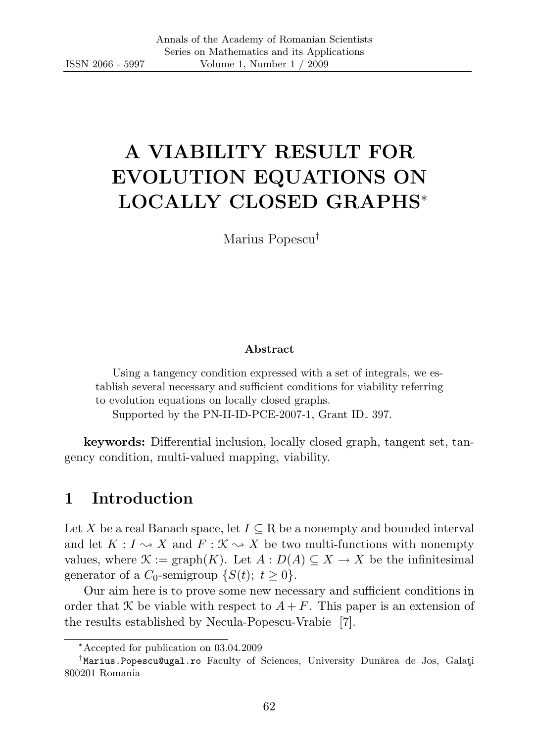# A VIABILITY RESULT FOR EVOLUTION EQUATIONS ON LOCALLY CLOSED GRAPHS<sup>∗</sup>

Marius Popescu†

#### Abstract

Using a tangency condition expressed with a set of integrals, we establish several necessary and sufficient conditions for viability referring to evolution equations on locally closed graphs.

Supported by the PN-II-ID-PCE-2007-1, Grant ID 397.

keywords: Differential inclusion, locally closed graph, tangent set, tangency condition, multi-valued mapping, viability.

## 1 Introduction

Let X be a real Banach space, let  $I \subseteq \mathbb{R}$  be a nonempty and bounded interval and let  $K: I \to X$  and  $F: \mathcal{K} \to X$  be two multi-functions with nonempty values, where  $\mathcal{K} := \text{graph}(K)$ . Let  $A : D(A) \subseteq X \to X$  be the infinitesimal generator of a  $C_0$ -semigroup  $\{S(t); t \geq 0\}$ .

Our aim here is to prove some new necessary and sufficient conditions in order that X be viable with respect to  $A + F$ . This paper is an extension of the results established by Necula-Popescu-Vrabie [7].

<sup>∗</sup>Accepted for publication on 03.04.2009

<sup>&</sup>lt;sup>†</sup>Marius. Popescu@ugal.ro Faculty of Sciences, University Dunărea de Jos, Galați 800201 Romania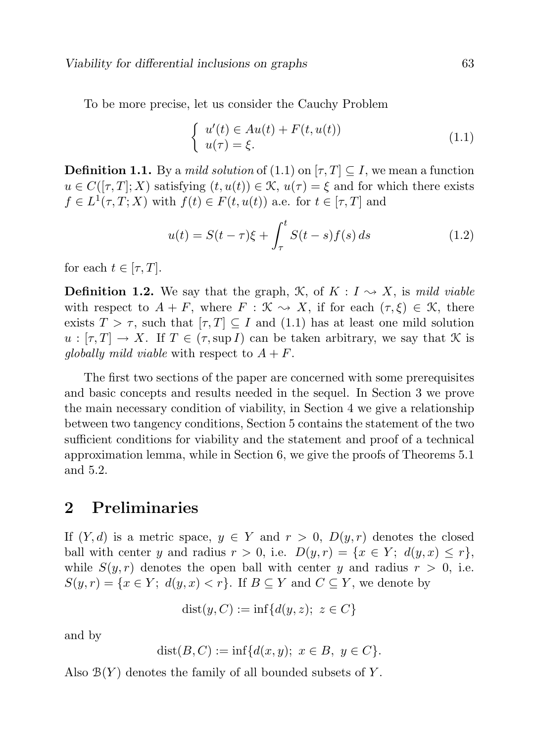To be more precise, let us consider the Cauchy Problem

$$
\begin{cases}\n u'(t) \in Au(t) + F(t, u(t)) \\
 u(\tau) = \xi.\n\end{cases} \tag{1.1}
$$

**Definition 1.1.** By a *mild solution* of  $(1.1)$  on  $[\tau, T] \subseteq I$ , we mean a function  $u \in C([\tau, T]; X)$  satisfying  $(t, u(t)) \in \mathcal{K}$ ,  $u(\tau) = \xi$  and for which there exists  $f \in L^1(\tau, T; X)$  with  $f(t) \in F(t, u(t))$  a.e. for  $t \in [\tau, T]$  and

$$
u(t) = S(t - \tau)\xi + \int_{\tau}^{t} S(t - s)f(s) \, ds \tag{1.2}
$$

for each  $t \in [\tau, T]$ .

**Definition 1.2.** We say that the graph,  $\mathcal{K}$ , of  $K: I \rightarrow X$ , is mild viable with respect to  $A + F$ , where  $F : \mathcal{K} \to X$ , if for each  $(\tau, \xi) \in \mathcal{K}$ , there exists  $T > \tau$ , such that  $[\tau, T] \subseteq I$  and  $(1.1)$  has at least one mild solution  $u : [\tau, T] \to X$ . If  $T \in (\tau, \sup I)$  can be taken arbitrary, we say that K is globally mild viable with respect to  $A + F$ .

The first two sections of the paper are concerned with some prerequisites and basic concepts and results needed in the sequel. In Section 3 we prove the main necessary condition of viability, in Section 4 we give a relationship between two tangency conditions, Section 5 contains the statement of the two sufficient conditions for viability and the statement and proof of a technical approximation lemma, while in Section 6, we give the proofs of Theorems 5.1 and 5.2.

### 2 Preliminaries

If  $(Y, d)$  is a metric space,  $y \in Y$  and  $r > 0$ ,  $D(y, r)$  denotes the closed ball with center y and radius  $r > 0$ , i.e.  $D(y, r) = \{x \in Y; d(y, x) \leq r\},\$ while  $S(y, r)$  denotes the open ball with center y and radius  $r > 0$ , i.e.  $S(y, r) = \{x \in Y; d(y, x) < r\}.$  If  $B \subseteq Y$  and  $C \subseteq Y$ , we denote by

$$
dist(y, C) := inf{d(y, z); z \in C}
$$

and by

$$
dist(B, C) := \inf \{ d(x, y); \ x \in B, \ y \in C \}.
$$

Also  $\mathcal{B}(Y)$  denotes the family of all bounded subsets of Y.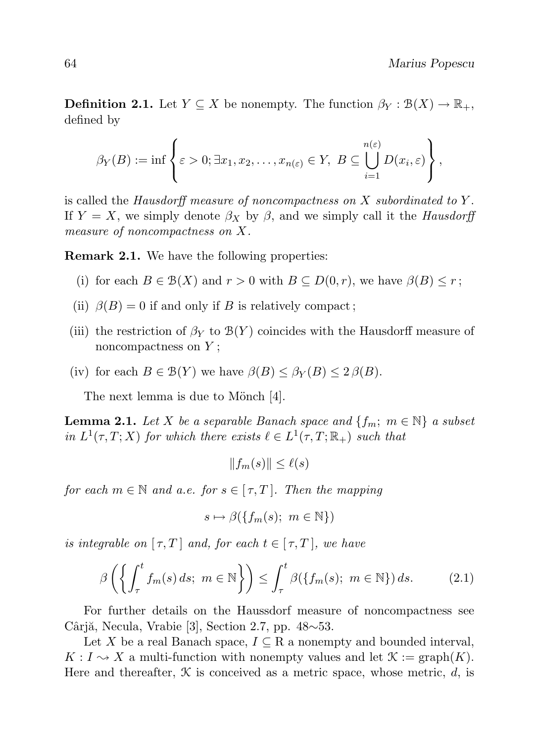**Definition 2.1.** Let  $Y \subseteq X$  be nonempty. The function  $\beta_Y : \mathcal{B}(X) \to \mathbb{R}_+$ , defined by

$$
\beta_Y(B) := \inf \left\{ \varepsilon > 0; \exists x_1, x_2, \dots, x_{n(\varepsilon)} \in Y, \ B \subseteq \bigcup_{i=1}^{n(\varepsilon)} D(x_i, \varepsilon) \right\},\
$$

is called the Hausdorff measure of noncompactness on  $X$  subordinated to  $Y$ . If  $Y = X$ , we simply denote  $\beta_X$  by  $\beta$ , and we simply call it the Hausdorff measure of noncompactness on X.

Remark 2.1. We have the following properties:

- (i) for each  $B \in \mathcal{B}(X)$  and  $r > 0$  with  $B \subseteq D(0,r)$ , we have  $\beta(B) \leq r$ ;
- (ii)  $\beta(B) = 0$  if and only if B is relatively compact;
- (iii) the restriction of  $\beta_Y$  to  $\mathcal{B}(Y)$  coincides with the Hausdorff measure of noncompactness on  $Y$ ;
- (iv) for each  $B \in \mathcal{B}(Y)$  we have  $\beta(B) \leq \beta_Y(B) \leq 2 \beta(B)$ .

The next lemma is due to Mönch [4].

**Lemma 2.1.** Let X be a separable Banach space and  $\{f_m; m \in \mathbb{N}\}\$ a subset in  $L^1(\tau,T;X)$  for which there exists  $\ell \in L^1(\tau,T;\mathbb{R}_+)$  such that

 $||f_m(s)|| < \ell(s)$ 

for each  $m \in \mathbb{N}$  and a.e. for  $s \in [\tau, T]$ . Then the mapping

$$
s \mapsto \beta(\{f_m(s); \ m \in \mathbb{N}\})
$$

is integrable on  $[\tau, T]$  and, for each  $t \in [\tau, T]$ , we have

$$
\beta\left(\left\{\int_{\tau}^{t} f_m(s) \, ds; \ m \in \mathbb{N}\right\}\right) \leq \int_{\tau}^{t} \beta(\left\{f_m(s); \ m \in \mathbb{N}\right\}) \, ds. \tag{2.1}
$$

For further details on the Haussdorf measure of noncompactness see Cârjă, Necula, Vrabie [3], Section 2.7, pp.  $48~53$ .

Let X be a real Banach space,  $I \subseteq \mathbb{R}$  a nonempty and bounded interval,  $K: I \rightsquigarrow X$  a multi-function with nonempty values and let  $\mathcal{K} := \text{graph}(K)$ . Here and thereafter,  $\mathcal K$  is conceived as a metric space, whose metric, d, is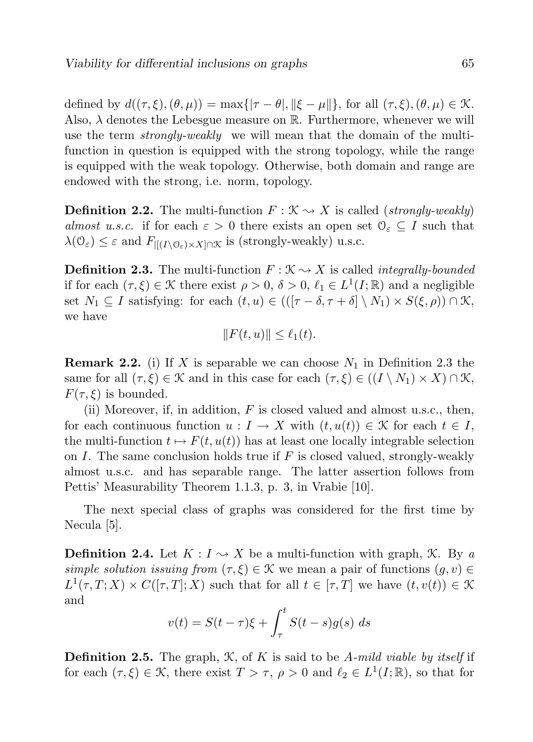defined by  $d((\tau,\xi),(\theta,\mu)) = \max{\lbrace |\tau - \theta|, ||\xi - \mu|| \rbrace}$ , for all  $(\tau,\xi),(\theta,\mu) \in \mathcal{K}$ . Also,  $\lambda$  denotes the Lebesgue measure on R. Furthermore, whenever we will use the term *strongly-weakly* we will mean that the domain of the multifunction in question is equipped with the strong topology, while the range is equipped with the weak topology. Otherwise, both domain and range are endowed with the strong, i.e. norm, topology.

**Definition 2.2.** The multi-function  $F : \mathcal{K} \rightarrow X$  is called *(strongly-weakly)* almost u.s.c. if for each  $\varepsilon > 0$  there exists an open set  $\mathcal{O}_{\varepsilon} \subseteq I$  such that  $\lambda(\mathcal{O}_{\varepsilon}) \leq \varepsilon$  and  $F_{\left[\left(I\setminus\mathcal{O}_{\varepsilon}\right)\times X\right]\cap\mathcal{K}}$  is (strongly-weakly) u.s.c.

**Definition 2.3.** The multi-function  $F : \mathcal{K} \rightarrow X$  is called *integrally-bounded* if for each  $(\tau, \xi) \in \mathcal{K}$  there exist  $\rho > 0$ ,  $\delta > 0$ ,  $\ell_1 \in L^1(I; \mathbb{R})$  and a negligible set  $N_1 \subseteq I$  satisfying: for each  $(t, u) \in (([\tau - \delta, \tau + \delta] \setminus N_1) \times S(\xi, \rho)) \cap \mathcal{K},$ we have

$$
||F(t, u)|| \le \ell_1(t).
$$

**Remark 2.2.** (i) If X is separable we can choose  $N_1$  in Definition 2.3 the same for all  $(\tau, \xi) \in \mathcal{K}$  and in this case for each  $(\tau, \xi) \in ((I \setminus N_1) \times X) \cap \mathcal{K}$ ,  $F(\tau, \xi)$  is bounded.

(ii) Moreover, if, in addition,  $F$  is closed valued and almost u.s.c., then, for each continuous function  $u : I \to X$  with  $(t, u(t)) \in \mathcal{K}$  for each  $t \in I$ , the multi-function  $t \mapsto F(t, u(t))$  has at least one locally integrable selection on I. The same conclusion holds true if  $F$  is closed valued, strongly-weakly almost u.s.c. and has separable range. The latter assertion follows from Pettis' Measurability Theorem 1.1.3, p. 3, in Vrabie [10].

The next special class of graphs was considered for the first time by Necula [5].

**Definition 2.4.** Let  $K: I \rightarrow X$  be a multi-function with graph,  $\mathcal{K}$ . By a simple solution issuing from  $(\tau, \xi) \in \mathcal{K}$  we mean a pair of functions  $(g, v) \in$  $L^1(\tau,T;X) \times C([\tau,T];X)$  such that for all  $t \in [\tau,T]$  we have  $(t,v(t)) \in \mathcal{K}$ and

$$
v(t) = S(t - \tau)\xi + \int_{\tau}^{t} S(t - s)g(s) \, ds
$$

**Definition 2.5.** The graph,  $K$ , of K is said to be A-mild viable by itself if for each  $(\tau, \xi) \in \mathcal{K}$ , there exist  $T > \tau$ ,  $\rho > 0$  and  $\ell_2 \in L^1(I; \mathbb{R})$ , so that for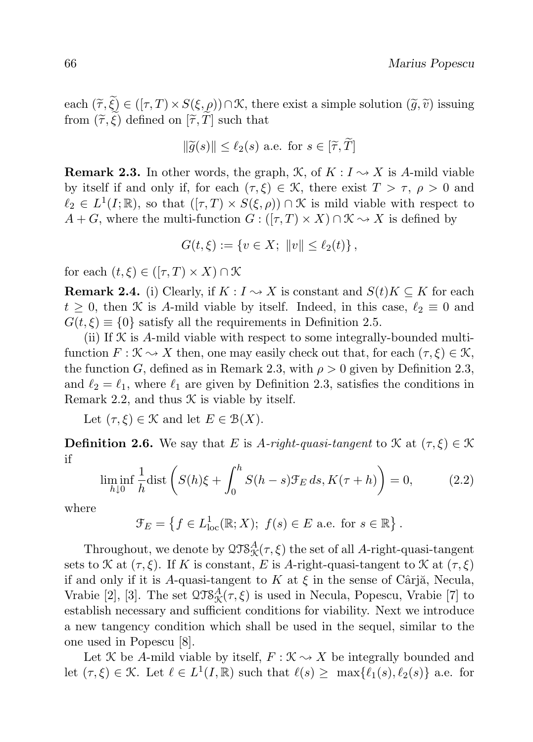each  $(\tilde{\tau}, \tilde{\xi}) \in ([\tau, T) \times S(\xi, \rho)) \cap \mathcal{K}$ , there exist a simple solution  $(\tilde{g}, \tilde{v})$  issuing from  $(\widetilde{\tau}, \widetilde{\xi})$  defined on  $[\widetilde{\tau}, \widetilde{T}]$  such that

$$
\|\widetilde{g}(s)\| \le \ell_2(s) \text{ a.e. for } s \in [\widetilde{\tau}, T]
$$

**Remark 2.3.** In other words, the graph,  $\mathcal{K}$ , of  $K : I \rightarrow X$  is A-mild viable by itself if and only if, for each  $(\tau, \xi) \in \mathcal{K}$ , there exist  $T > \tau$ ,  $\rho > 0$  and  $\ell_2 \in L^1(I;\mathbb{R})$ , so that  $([\tau, T) \times S(\xi, \rho)) \cap \mathcal{K}$  is mild viable with respect to  $A + G$ , where the multi-function  $G : (\tau, T) \times X \cap \mathcal{K} \to X$  is defined by

$$
G(t,\xi) := \{ v \in X; \ \|v\| \le \ell_2(t) \},
$$

for each  $(t, \xi) \in ([\tau, T) \times X) \cap \mathcal{K}$ 

**Remark 2.4.** (i) Clearly, if  $K: I \to X$  is constant and  $S(t)K \subseteq K$  for each  $t > 0$ , then K is A-mild viable by itself. Indeed, in this case,  $\ell_2 \equiv 0$  and  $G(t, \xi) \equiv \{0\}$  satisfy all the requirements in Definition 2.5.

(ii) If  $K$  is A-mild viable with respect to some integrally-bounded multifunction  $F: \mathcal{K} \to X$  then, one may easily check out that, for each  $(\tau, \xi) \in \mathcal{K}$ , the function G, defined as in Remark 2.3, with  $\rho > 0$  given by Definition 2.3, and  $\ell_2 = \ell_1$ , where  $\ell_1$  are given by Definition 2.3, satisfies the conditions in Remark 2.2, and thus  $\mathcal K$  is viable by itself.

Let  $(\tau, \xi) \in \mathcal{K}$  and let  $E \in \mathcal{B}(X)$ .

**Definition 2.6.** We say that E is A-right-quasi-tangent to  $\mathcal{K}$  at  $(\tau, \xi) \in \mathcal{K}$ if

$$
\liminf_{h \downarrow 0} \frac{1}{h} \text{dist}\left(S(h)\xi + \int_0^h S(h-s)\mathcal{F}_E ds, K(\tau + h)\right) = 0,\tag{2.2}
$$

where

 $\mathcal{F}_E = \left\{ f \in L^1_{loc}(\mathbb{R}; X); f(s) \in E \text{ a.e. for } s \in \mathbb{R} \right\}.$ 

Throughout, we denote by  $\mathfrak{QTS}_\mathcal{K}^A(\tau,\xi)$  the set of all A-right-quasi-tangent sets to X at  $(\tau, \xi)$ . If K is constant, E is A-right-quasi-tangent to X at  $(\tau, \xi)$ if and only if it is A-quasi-tangent to K at  $\xi$  in the sense of Cârjă, Necula, Vrabie [2], [3]. The set  $\mathfrak{QTS}_\mathcal{K}^A(\tau,\xi)$  is used in Necula, Popescu, Vrabie [7] to establish necessary and sufficient conditions for viability. Next we introduce a new tangency condition which shall be used in the sequel, similar to the one used in Popescu [8].

Let X be A-mild viable by itself,  $F : \mathcal{K} \to X$  be integrally bounded and let  $(\tau, \xi) \in \mathcal{K}$ . Let  $\ell \in L^1(I, \mathbb{R})$  such that  $\ell(s) \geq \max{\ell_1(s), \ell_2(s)}$  a.e. for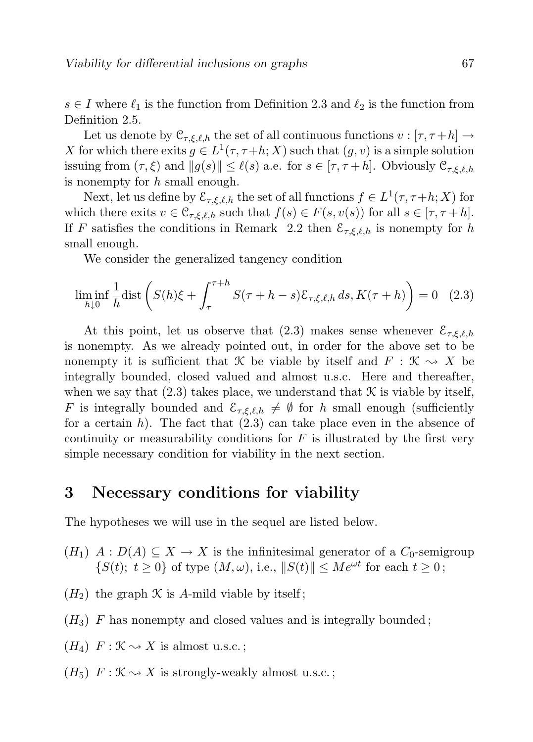$s \in I$  where  $\ell_1$  is the function from Definition 2.3 and  $\ell_2$  is the function from Definition 2.5.

Let us denote by  $\mathcal{C}_{\tau,\xi,\ell,h}$  the set of all continuous functions  $v : [\tau, \tau+h] \to$ X for which there exits  $g \in L^1(\tau, \tau+h; X)$  such that  $(g, v)$  is a simple solution issuing from  $(\tau, \xi)$  and  $||g(s)|| \leq \ell(s)$  a.e. for  $s \in [\tau, \tau +h]$ . Obviously  $\mathcal{C}_{\tau, \xi, \ell, h}$ is nonempty for h small enough.

Next, let us define by  $\mathcal{E}_{\tau,\xi,\ell,h}$  the set of all functions  $f \in L^1(\tau,\tau+h;X)$  for which there exits  $v \in \mathcal{C}_{\tau,\xi,\ell,h}$  such that  $f(s) \in F(s,v(s))$  for all  $s \in [\tau, \tau+h]$ . If F satisfies the conditions in Remark 2.2 then  $\mathcal{E}_{\tau,\xi,\ell,h}$  is nonempty for h small enough.

We consider the generalized tangency condition

$$
\liminf_{h \downarrow 0} \frac{1}{h} \text{dist}\left(S(h)\xi + \int_{\tau}^{\tau+h} S(\tau+h-s)\mathcal{E}_{\tau,\xi,\ell,h} ds, K(\tau+h)\right) = 0 \quad (2.3)
$$

At this point, let us observe that (2.3) makes sense whenever  $\mathcal{E}_{\tau,\xi,\ell,h}$ is nonempty. As we already pointed out, in order for the above set to be nonempty it is sufficient that K be viable by itself and  $F : \mathcal{K} \to X$  be integrally bounded, closed valued and almost u.s.c. Here and thereafter, when we say that  $(2.3)$  takes place, we understand that  $\mathcal K$  is viable by itself, F is integrally bounded and  $\mathcal{E}_{\tau,\xi,\ell,h} \neq \emptyset$  for h small enough (sufficiently for a certain h). The fact that  $(2.3)$  can take place even in the absence of continuity or measurability conditions for  $F$  is illustrated by the first very simple necessary condition for viability in the next section.

#### 3 Necessary conditions for viability

The hypotheses we will use in the sequel are listed below.

- $(H_1)$   $A: D(A) \subseteq X \to X$  is the infinitesimal generator of a  $C_0$ -semigroup  $\{S(t); t \geq 0\}$  of type  $(M, \omega)$ , i.e.,  $||S(t)|| \leq Me^{\omega t}$  for each  $t \geq 0$ ;
- $(H_2)$  the graph  $\mathcal K$  is A-mild viable by itself;
- $(H_3)$  F has nonempty and closed values and is integrally bounded;
- $(H_4)$   $F: \mathcal{K} \rightarrow X$  is almost u.s.c.;
- $(H_5)$   $F: \mathcal{K} \rightarrow X$  is strongly-weakly almost u.s.c.;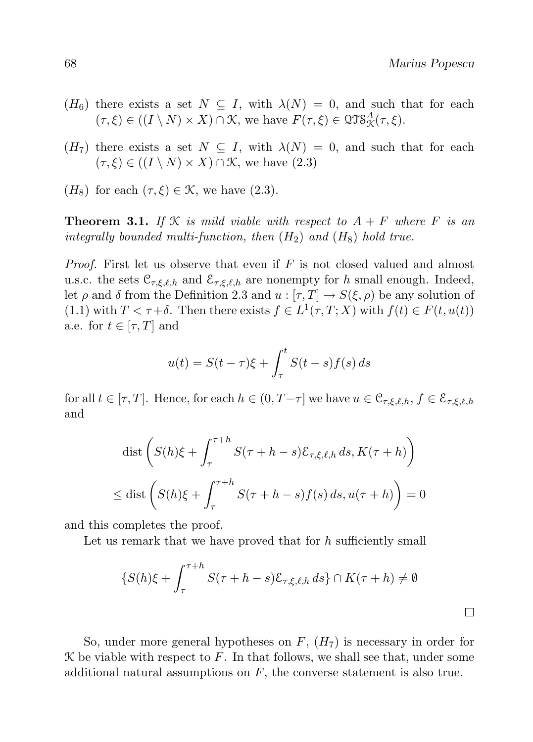$\Box$ 

- $(H_6)$  there exists a set  $N \subseteq I$ , with  $\lambda(N) = 0$ , and such that for each  $(\tau, \xi) \in ((I \setminus N) \times X) \cap \mathcal{K}$ , we have  $F(\tau, \xi) \in \mathcal{QTS}_{\mathcal{K}}^A(\tau, \xi)$ .
- $(H_7)$  there exists a set  $N \subseteq I$ , with  $\lambda(N) = 0$ , and such that for each  $(\tau, \xi) \in ((I \setminus N) \times X) \cap \mathcal{K}$ , we have  $(2.3)$
- $(H_8)$  for each  $(\tau, \xi) \in \mathcal{K}$ , we have  $(2.3)$ .

**Theorem 3.1.** If  $K$  is mild viable with respect to  $A + F$  where F is an integrally bounded multi-function, then  $(H_2)$  and  $(H_8)$  hold true.

*Proof.* First let us observe that even if  $F$  is not closed valued and almost u.s.c. the sets  $\mathcal{C}_{\tau,\xi,\ell,h}$  and  $\mathcal{E}_{\tau,\xi,\ell,h}$  are nonempty for h small enough. Indeed, let  $\rho$  and  $\delta$  from the Definition 2.3 and  $u : [\tau, T] \to S(\xi, \rho)$  be any solution of (1.1) with  $T < \tau + \delta$ . Then there exists  $f \in L^1(\tau, T; X)$  with  $f(t) \in F(t, u(t))$ a.e. for  $t \in [\tau, T]$  and

$$
u(t) = S(t - \tau)\xi + \int_{\tau}^{t} S(t - s)f(s) ds
$$

for all  $t \in [\tau, T]$ . Hence, for each  $h \in (0, T-\tau]$  we have  $u \in \mathfrak{C}_{\tau,\mathcal{E},\ell,h}, f \in \mathcal{E}_{\tau,\mathcal{E},\ell,h}$ and

$$
\operatorname{dist}\left(S(h)\xi + \int_{\tau}^{\tau+h} S(\tau+h-s)\mathcal{E}_{\tau,\xi,\ell,h} ds, K(\tau+h)\right)
$$
  

$$
\leq \operatorname{dist}\left(S(h)\xi + \int_{\tau}^{\tau+h} S(\tau+h-s)f(s) ds, u(\tau+h)\right) = 0
$$

and this completes the proof.

Let us remark that we have proved that for  $h$  sufficiently small

$$
\{S(h)\xi + \int_{\tau}^{\tau+h} S(\tau+h-s)\mathcal{E}_{\tau,\xi,\ell,h} ds\} \cap K(\tau+h) \neq \emptyset
$$

So, under more general hypotheses on  $F$ ,  $(H<sub>7</sub>)$  is necessary in order for  $K$  be viable with respect to  $F$ . In that follows, we shall see that, under some additional natural assumptions on  $F$ , the converse statement is also true.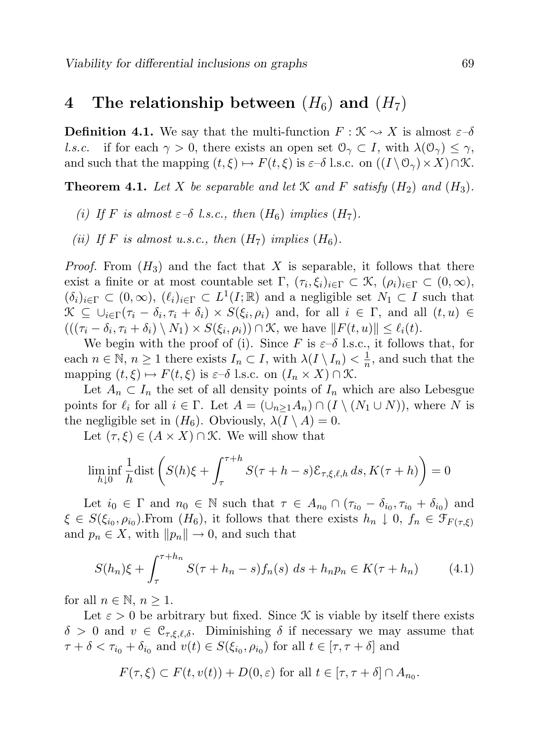### 4 The relationship between  $(H_6)$  and  $(H_7)$

**Definition 4.1.** We say that the multi-function  $F : \mathcal{K} \to X$  is almost  $\varepsilon-\delta$ l.s.c. if for each  $\gamma > 0$ , there exists an open set  $\mathcal{O}_{\gamma} \subset I$ , with  $\lambda(\mathcal{O}_{\gamma}) \leq \gamma$ , and such that the mapping  $(t, \xi) \mapsto F(t, \xi)$  is  $\varepsilon-\delta$  l.s.c. on  $((I \setminus \mathcal{O}_{\gamma}) \times X) \cap \mathcal{K}$ .

**Theorem 4.1.** Let X be separable and let X and F satisfy  $(H_2)$  and  $(H_3)$ .

- (i) If F is almost  $\varepsilon-\delta$  l.s.c., then  $(H_6)$  implies  $(H_7)$ .
- (ii) If F is almost u.s.c., then  $(H_7)$  implies  $(H_6)$ .

*Proof.* From  $(H_3)$  and the fact that X is separable, it follows that there exist a finite or at most countable set  $\Gamma$ ,  $(\tau_i, \xi_i)_{i \in \Gamma} \subset \mathcal{K}$ ,  $(\rho_i)_{i \in \Gamma} \subset (0, \infty)$ ,  $(\delta_i)_{i \in \Gamma} \subset (0,\infty)$ ,  $(\ell_i)_{i \in \Gamma} \subset L^1(I;\mathbb{R})$  and a negligible set  $N_1 \subset I$  such that  $\mathcal{K} \subseteq \cup_{i \in \Gamma} (\tau_i - \delta_i, \tau_i + \delta_i) \times S(\xi_i, \rho_i)$  and, for all  $i \in \Gamma$ , and all  $(t, u) \in$  $(( (\tau_i - \delta_i, \tau_i + \delta_i) \setminus N_1) \times S(\xi_i, \rho_i)) \cap \mathcal{K}$ , we have  $||F(t, u)|| \leq \ell_i(t)$ .

We begin with the proof of (i). Since F is  $\varepsilon$ -δ l.s.c., it follows that, for each  $n \in \mathbb{N}, n \geq 1$  there exists  $I_n \subset I$ , with  $\lambda(I \setminus I_n) < \frac{1}{n}$  $\frac{1}{n}$ , and such that the mapping  $(t, \xi) \mapsto F(t, \xi)$  is  $\varepsilon-\delta$  l.s.c. on  $(I_n \times X) \cap \mathcal{K}$ .

Let  $A_n \subset I_n$  the set of all density points of  $I_n$  which are also Lebesgue points for  $\ell_i$  for all  $i \in \Gamma$ . Let  $A = (\cup_{n>1}A_n) \cap (I \setminus (N_1 \cup N))$ , where N is the negligible set in  $(H_6)$ . Obviously,  $\lambda(I \setminus A) = 0$ .

Let  $(\tau, \xi) \in (A \times X) \cap \mathcal{K}$ . We will show that

$$
\liminf_{h \downarrow 0} \frac{1}{h} \text{dist}\left(S(h)\xi + \int_{\tau}^{\tau+h} S(\tau+h-s)\mathcal{E}_{\tau,\xi,\ell,h} ds, K(\tau+h)\right) = 0
$$

Let  $i_0 \in \Gamma$  and  $n_0 \in \mathbb{N}$  such that  $\tau \in A_{n_0} \cap (\tau_{i_0} - \delta_{i_0}, \tau_{i_0} + \delta_{i_0})$  and  $\xi \in S(\xi_{i_0}, \rho_{i_0})$ . From  $(H_6)$ , it follows that there exists  $h_n \downarrow 0, f_n \in \mathcal{F}_{F(\tau,\xi)}$ and  $p_n \in X$ , with  $||p_n|| \to 0$ , and such that

$$
S(h_n)\xi + \int_{\tau}^{\tau + h_n} S(\tau + h_n - s) f_n(s) \, ds + h_n p_n \in K(\tau + h_n) \tag{4.1}
$$

for all  $n \in \mathbb{N}$ ,  $n \geq 1$ .

Let  $\varepsilon > 0$  be arbitrary but fixed. Since X is viable by itself there exists  $\delta > 0$  and  $v \in \mathcal{C}_{\tau,\xi,\ell,\delta}$ . Diminishing  $\delta$  if necessary we may assume that  $\tau + \delta < \tau_{i_0} + \delta_{i_0}$  and  $v(t) \in S(\xi_{i_0}, \rho_{i_0})$  for all  $t \in [\tau, \tau + \delta]$  and

$$
F(\tau,\xi) \subset F(t,v(t)) + D(0,\varepsilon)
$$
 for all  $t \in [\tau,\tau+\delta] \cap A_{n_0}$ .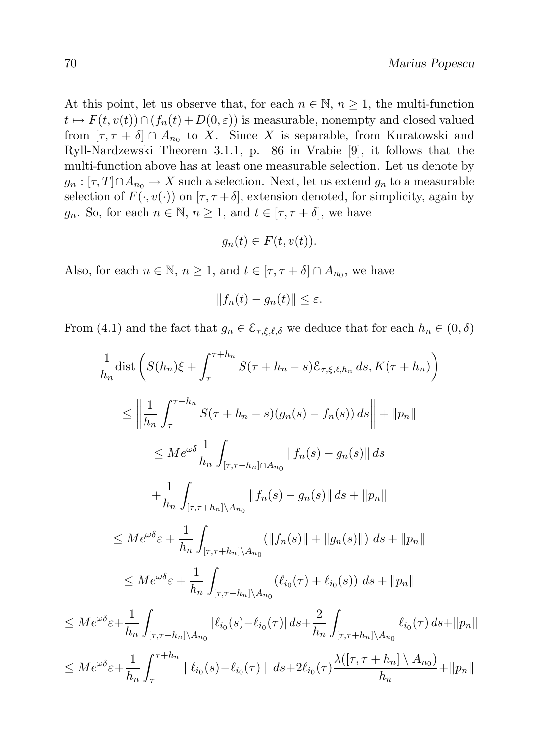At this point, let us observe that, for each  $n \in \mathbb{N}$ ,  $n \geq 1$ , the multi-function  $t \mapsto F(t, v(t)) \cap (f_n(t) + D(0, \varepsilon))$  is measurable, nonempty and closed valued from  $[\tau, \tau + \delta] \cap A_{n_0}$  to X. Since X is separable, from Kuratowski and Ryll-Nardzewski Theorem 3.1.1, p. 86 in Vrabie [9], it follows that the multi-function above has at least one measurable selection. Let us denote by  $g_n : [\tau, T] \cap A_{n_0} \to X$  such a selection. Next, let us extend  $g_n$  to a measurable selection of  $F(\cdot, v(\cdot))$  on  $[\tau, \tau + \delta]$ , extension denoted, for simplicity, again by  $g_n$ . So, for each  $n \in \mathbb{N}$ ,  $n \geq 1$ , and  $t \in [\tau, \tau + \delta]$ , we have

$$
g_n(t) \in F(t, v(t)).
$$

Also, for each  $n \in \mathbb{N}$ ,  $n \ge 1$ , and  $t \in [\tau, \tau + \delta] \cap A_{n_0}$ , we have

$$
||f_n(t) - g_n(t)|| \le \varepsilon.
$$

From (4.1) and the fact that  $g_n \in \mathcal{E}_{\tau,\xi,\ell,\delta}$  we deduce that for each  $h_n \in (0,\delta)$ 

$$
\frac{1}{h_n} \text{dist}\left(S(h_n)\xi + \int_{\tau}^{\tau+h_n} S(\tau+h_n-s)\mathcal{E}_{\tau,\xi,\ell,h_n} ds, K(\tau+h_n)\right)
$$
\n
$$
\leq \left\|\frac{1}{h_n}\int_{\tau}^{\tau+h_n} S(\tau+h_n-s)(g_n(s)-f_n(s)) ds\right\| + \|p_n\|
$$
\n
$$
\leq Me^{\omega\delta} \frac{1}{h_n} \int_{[\tau,\tau+h_n]\cap A_{n_0}} \|f_n(s)-g_n(s)\| ds
$$
\n
$$
+ \frac{1}{h_n} \int_{[\tau,\tau+h_n]\setminus A_{n_0}} \|f_n(s)-g_n(s)\| ds + \|p_n\|
$$
\n
$$
\leq Me^{\omega\delta}\varepsilon + \frac{1}{h_n} \int_{[\tau,\tau+h_n]\setminus A_{n_0}} (||f_n(s)|| + ||g_n(s)||) ds + ||p_n||
$$
\n
$$
\leq Me^{\omega\delta}\varepsilon + \frac{1}{h_n} \int_{[\tau,\tau+h_n]\setminus A_{n_0}} (\ell_{i_0}(\tau) + \ell_{i_0}(s)) ds + ||p_n||
$$
\n
$$
\leq Me^{\omega\delta}\varepsilon + \frac{1}{h_n} \int_{[\tau,\tau+h_n]\setminus A_{n_0}} |\ell_{i_0}(s) - \ell_{i_0}(\tau)| ds + \frac{2}{h_n} \int_{[\tau,\tau+h_n]\setminus A_{n_0}} \ell_{i_0}(\tau) ds + ||p_n||
$$
\n
$$
\leq Me^{\omega\delta}\varepsilon + \frac{1}{h_n} \int_{\tau}^{\tau+h_n} |\ell_{i_0}(s) - \ell_{i_0}(\tau)| ds + 2\ell_{i_0}(\tau) \frac{\lambda([\tau,\tau+h_n]\setminus A_{n_0})}{h_n} + ||p_n||
$$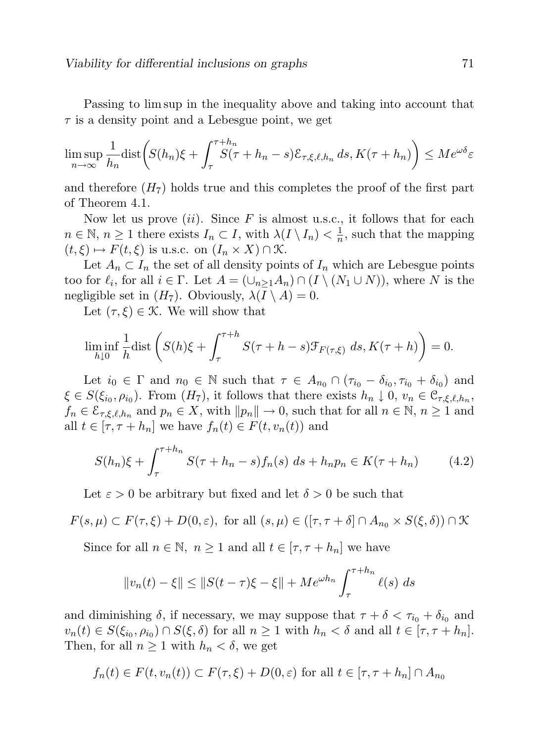Passing to lim sup in the inequality above and taking into account that  $\tau$  is a density point and a Lebesgue point, we get

$$
\limsup_{n \to \infty} \frac{1}{h_n} \text{dist}\bigg( S(h_n)\xi + \int_{\tau}^{\tau + h_n} S(\tau + h_n - s) \mathcal{E}_{\tau, \xi, \ell, h_n} ds, K(\tau + h_n) \bigg) \leq Me^{\omega \delta} \varepsilon
$$

and therefore  $(H<sub>7</sub>)$  holds true and this completes the proof of the first part of Theorem 4.1.

Now let us prove  $(ii)$ . Since F is almost u.s.c., it follows that for each  $n \in \mathbb{N}, n \ge 1$  there exists  $I_n \subset I$ , with  $\lambda(I \setminus I_n) < \frac{1}{n}$  $\frac{1}{n}$ , such that the mapping  $(t, \xi) \mapsto F(t, \xi)$  is u.s.c. on  $(I_n \times X) \cap \mathcal{K}$ .

Let  $A_n \subset I_n$  the set of all density points of  $I_n$  which are Lebesgue points too for  $\ell_i$ , for all  $i \in \Gamma$ . Let  $A = (\cup_{n\geq 1} A_n) \cap (I \setminus (N_1 \cup N))$ , where N is the negligible set in  $(H_7)$ . Obviously,  $\lambda(I \setminus A) = 0$ .

Let  $(\tau, \xi) \in \mathcal{K}$ . We will show that

$$
\liminf_{h \downarrow 0} \frac{1}{h} \text{dist}\left(S(h)\xi + \int_{\tau}^{\tau+h} S(\tau+h-s) \mathcal{F}_{F(\tau,\xi)} ds, K(\tau+h)\right) = 0.
$$

Let  $i_0 \in \Gamma$  and  $n_0 \in \mathbb{N}$  such that  $\tau \in A_{n_0} \cap (\tau_{i_0} - \delta_{i_0}, \tau_{i_0} + \delta_{i_0})$  and  $\xi \in S(\xi_{i_0}, \rho_{i_0})$ . From  $(H_7)$ , it follows that there exists  $h_n \downarrow 0, v_n \in \mathfrak{C}_{\tau, \xi, \ell, h_n},$  $f_n \in \mathcal{E}_{\tau,\xi,\ell,h_n}$  and  $p_n \in X$ , with  $||p_n|| \to 0$ , such that for all  $n \in \mathbb{N}, n \ge 1$  and all  $t \in [\tau, \tau + h_n]$  we have  $f_n(t) \in F(t, v_n(t))$  and

$$
S(h_n)\xi + \int_{\tau}^{\tau + h_n} S(\tau + h_n - s) f_n(s) \, ds + h_n p_n \in K(\tau + h_n) \tag{4.2}
$$

Let  $\varepsilon > 0$  be arbitrary but fixed and let  $\delta > 0$  be such that

$$
F(s,\mu) \subset F(\tau,\xi) + D(0,\varepsilon), \text{ for all } (s,\mu) \in ([\tau,\tau+\delta] \cap A_{n_0} \times S(\xi,\delta)) \cap \mathcal{K}
$$

Since for all  $n \in \mathbb{N}$ ,  $n \ge 1$  and all  $t \in [\tau, \tau + h_n]$  we have

$$
||v_n(t) - \xi|| \le ||S(t - \tau)\xi - \xi|| + Me^{\omega h_n} \int_{\tau}^{\tau + h_n} \ell(s) \ ds
$$

and diminishing  $\delta$ , if necessary, we may suppose that  $\tau + \delta < \tau_{i_0} + \delta_{i_0}$  and  $v_n(t) \in S(\xi_{i_0}, \rho_{i_0}) \cap S(\xi, \delta)$  for all  $n \ge 1$  with  $h_n < \delta$  and all  $t \in [\tau, \tau + h_n]$ . Then, for all  $n \geq 1$  with  $h_n < \delta$ , we get

$$
f_n(t) \in F(t, v_n(t)) \subset F(\tau, \xi) + D(0, \varepsilon)
$$
 for all  $t \in [\tau, \tau + h_n] \cap A_{n_0}$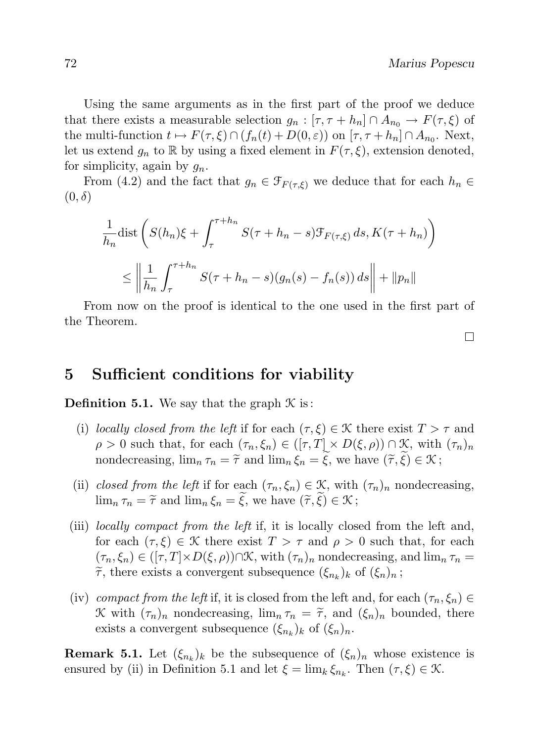Using the same arguments as in the first part of the proof we deduce that there exists a measurable selection  $g_n : [\tau, \tau + h_n] \cap A_{n_0} \to F(\tau, \xi)$  of the multi-function  $t \mapsto F(\tau, \xi) \cap (f_n(t) + D(0, \varepsilon))$  on  $[\tau, \tau + h_n] \cap A_{n_0}$ . Next, let us extend  $g_n$  to R by using a fixed element in  $F(\tau, \xi)$ , extension denoted, for simplicity, again by  $g_n$ .

From (4.2) and the fact that  $g_n \in \mathcal{F}_{F(\tau,\xi)}$  we deduce that for each  $h_n \in$  $(0, \delta)$ 

$$
\frac{1}{h_n} \text{dist}\left(S(h_n)\xi + \int_{\tau}^{\tau + h_n} S(\tau + h_n - s) \mathcal{F}_{F(\tau,\xi)} ds, K(\tau + h_n)\right)
$$
\n
$$
\leq \left\|\frac{1}{h_n}\int_{\tau}^{\tau + h_n} S(\tau + h_n - s)(g_n(s) - f_n(s)) ds\right\| + \|p_n\|
$$

From now on the proof is identical to the one used in the first part of the Theorem.

 $\Box$ 

#### 5 Sufficient conditions for viability

**Definition 5.1.** We say that the graph  $\mathcal K$  is:

- (i) locally closed from the left if for each  $(\tau, \xi) \in \mathcal{K}$  there exist  $T > \tau$  and  $\rho > 0$  such that, for each  $(\tau_n, \xi_n) \in ([\tau, T] \times D(\xi, \rho)) \cap \mathcal{K}$ , with  $(\tau_n)_n$ nondecreasing,  $\lim_{n} \tau_n = \tilde{\tau}$  and  $\lim_{n} \xi_n = \tilde{\xi}$ , we have  $(\tilde{\tau}, \tilde{\xi}) \in \mathcal{K}$ ;
- (ii) closed from the left if for each  $(\tau_n, \xi_n) \in \mathcal{K}$ , with  $(\tau_n)_n$  nondecreasing,  $\lim_{n} \tau_n = \tilde{\tau}$  and  $\lim_{n} \xi_n = \tilde{\xi}$ , we have  $(\tilde{\tau}, \tilde{\xi}) \in \mathcal{K}$ ;
- (iii) locally compact from the left if, it is locally closed from the left and, for each  $(\tau, \xi) \in \mathcal{K}$  there exist  $T > \tau$  and  $\rho > 0$  such that, for each  $(\tau_n, \xi_n) \in ([\tau, T] \times D(\xi, \rho)) \cap \mathcal{K}$ , with  $(\tau_n)_n$  nondecreasing, and  $\lim_n \tau_n =$  $\tilde{\tau}$ , there exists a convergent subsequence  $(\xi_{n_k})_k$  of  $(\xi_n)_n$ ;
- (iv) compact from the left if, it is closed from the left and, for each  $(\tau_n, \xi_n) \in$ K with  $(\tau_n)_n$  nondecreasing,  $\lim_n \tau_n = \tilde{\tau}$ , and  $(\xi_n)_n$  bounded, there exists a convergent subsequence  $(\xi_{n_k})_k$  of  $(\xi_n)_n$ .

**Remark 5.1.** Let  $(\xi_{n_k})_k$  be the subsequence of  $(\xi_n)_n$  whose existence is ensured by (ii) in Definition 5.1 and let  $\xi = \lim_k \xi_{n_k}$ . Then  $(\tau, \xi) \in \mathcal{K}$ .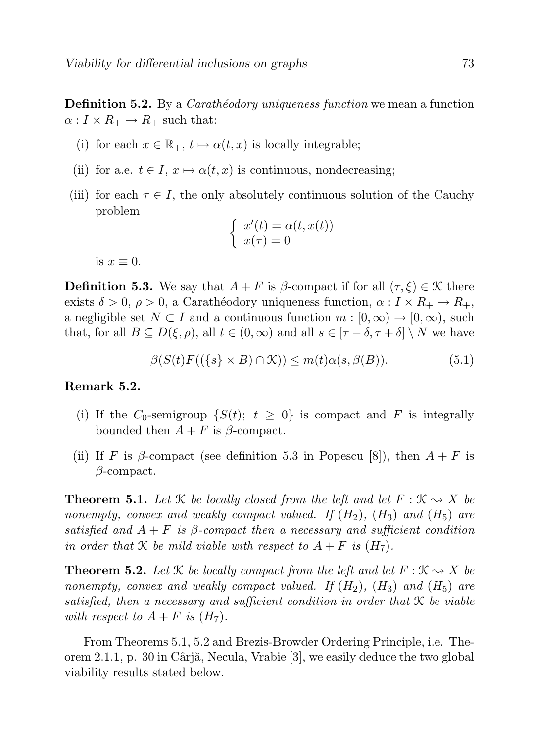**Definition 5.2.** By a *Carathéodory uniqueness function* we mean a function  $\alpha: I \times R_+ \to R_+$  such that:

- (i) for each  $x \in \mathbb{R}_+$ ,  $t \mapsto \alpha(t, x)$  is locally integrable;
- (ii) for a.e.  $t \in I$ ,  $x \mapsto \alpha(t, x)$  is continuous, nondecreasing;
- (iii) for each  $\tau \in I$ , the only absolutely continuous solution of the Cauchy problem

$$
\begin{cases}\nx'(t) = \alpha(t, x(t)) \\
x(\tau) = 0\n\end{cases}
$$

is  $x \equiv 0$ .

**Definition 5.3.** We say that  $A + F$  is  $\beta$ -compact if for all  $(\tau, \xi) \in \mathcal{K}$  there exists  $\delta > 0$ ,  $\rho > 0$ , a Carathéodory uniqueness function,  $\alpha : I \times R_+ \to R_+$ , a negligible set  $N \subset I$  and a continuous function  $m : [0, \infty) \to [0, \infty)$ , such that, for all  $B \subseteq D(\xi, \rho)$ , all  $t \in (0, \infty)$  and all  $s \in [\tau - \delta, \tau + \delta] \setminus N$  we have

$$
\beta(S(t)F((\{s\} \times B) \cap \mathcal{K})) \le m(t)\alpha(s,\beta(B)).\tag{5.1}
$$

#### Remark 5.2.

- (i) If the C<sub>0</sub>-semigroup  $\{S(t); t \geq 0\}$  is compact and F is integrally bounded then  $A + F$  is  $\beta$ -compact.
- (ii) If F is β-compact (see definition 5.3 in Popescu [8]), then  $A + F$  is  $\beta$ -compact.

**Theorem 5.1.** Let  $\mathcal{K}$  be locally closed from the left and let  $F : \mathcal{K} \to X$  be nonempty, convex and weakly compact valued. If  $(H_2)$ ,  $(H_3)$  and  $(H_5)$  are satisfied and  $A + F$  is β-compact then a necessary and sufficient condition in order that K be mild viable with respect to  $A + F$  is  $(H<sub>7</sub>)$ .

**Theorem 5.2.** Let *K* be locally compact from the left and let  $F : \mathcal{K} \to X$  be nonempty, convex and weakly compact valued. If  $(H_2)$ ,  $(H_3)$  and  $(H_5)$  are satisfied, then a necessary and sufficient condition in order that K be viable with respect to  $A + F$  is  $(H<sub>7</sub>)$ .

From Theorems 5.1, 5.2 and Brezis-Browder Ordering Principle, i.e. Theorem 2.1.1, p. 30 in Cârjă, Necula, Vrabie  $[3]$ , we easily deduce the two global viability results stated below.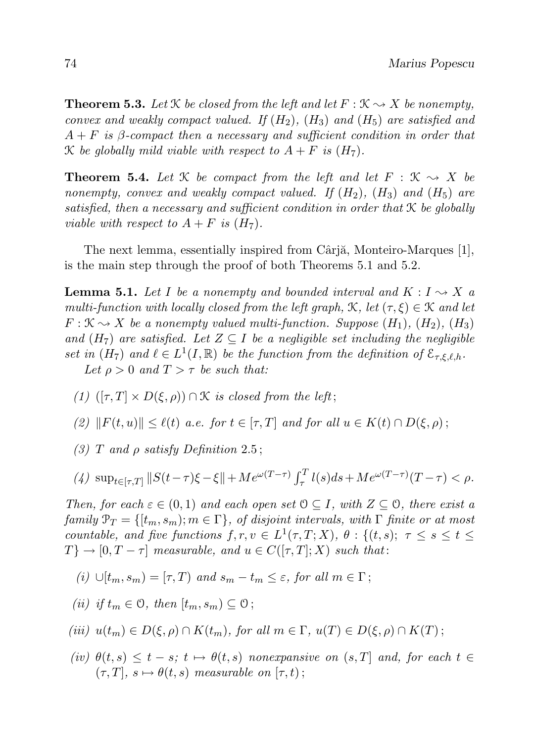**Theorem 5.3.** Let  $K$  be closed from the left and let  $F : K \rightarrow X$  be nonempty, convex and weakly compact valued. If  $(H_2)$ ,  $(H_3)$  and  $(H_5)$  are satisfied and  $A + F$  is β-compact then a necessary and sufficient condition in order that K be globally mild viable with respect to  $A + F$  is  $(H<sub>7</sub>)$ .

**Theorem 5.4.** Let  $\mathcal{K}$  be compact from the left and let  $F : \mathcal{K} \to X$  be nonempty, convex and weakly compact valued. If  $(H_2)$ ,  $(H_3)$  and  $(H_5)$  are satisfied, then a necessary and sufficient condition in order that K be globally viable with respect to  $A + F$  is  $(H<sub>7</sub>)$ .

The next lemma, essentially inspired from Cârjă, Monteiro-Marques [1], is the main step through the proof of both Theorems 5.1 and 5.2.

**Lemma 5.1.** Let I be a nonempty and bounded interval and  $K: I \rightarrow X$  a multi-function with locally closed from the left graph,  $\mathcal{K}$ , let  $(\tau, \xi) \in \mathcal{K}$  and let  $F: \mathcal{K} \rightarrow X$  be a nonempty valued multi-function. Suppose  $(H_1), (H_2), (H_3)$ and  $(H<sub>7</sub>)$  are satisfied. Let  $Z \subseteq I$  be a negligible set including the negligible set in  $(H_7)$  and  $\ell \in L^1(I,\mathbb{R})$  be the function from the definition of  $\mathcal{E}_{\tau,\xi,\ell,h}$ . Let  $\rho > 0$  and  $T > \tau$  be such that:

- (1)  $([\tau, T] \times D(\xi, \rho)) \cap \mathcal{K}$  is closed from the left;
- (2)  $||F(t, u)|| \le \ell(t)$  a.e. for  $t \in [\tau, T]$  and for all  $u \in K(t) \cap D(\xi, \rho)$ ;
- (3) T and  $\rho$  satisfy Definition 2.5;

$$
(4) \ \sup_{t \in [\tau, T]} \|S(t - \tau)\xi - \xi\| + Me^{\omega(T - \tau)} \int_{\tau}^{T} l(s)ds + Me^{\omega(T - \tau)}(T - \tau) < \rho.
$$

Then, for each  $\varepsilon \in (0,1)$  and each open set  $0 \subseteq I$ , with  $Z \subseteq 0$ , there exist a family  $\mathcal{P}_T = \{[t_m, s_m]; m \in \Gamma\}$ , of disjoint intervals, with  $\Gamma$  finite or at most countable, and five functions  $f, r, v \in L^1(\tau, T; X)$ ,  $\theta : \{(t, s); \tau \leq s \leq t \leq t\}$  $T\} \rightarrow [0, T - \tau]$  measurable, and  $u \in C([\tau, T]; X)$  such that:

(i) 
$$
\cup [t_m, s_m) = [\tau, T]
$$
 and  $s_m - t_m \leq \varepsilon$ , for all  $m \in \Gamma$ ;

(ii) if  $t_m \in \mathcal{O}$ , then  $[t_m, s_m) \subseteq \mathcal{O}$ ;

$$
(iii) u(t_m) \in D(\xi, \rho) \cap K(t_m), \text{ for all } m \in \Gamma, u(T) \in D(\xi, \rho) \cap K(T);
$$

(iv)  $\theta(t,s) \leq t-s$ ;  $t \mapsto \theta(t,s)$  nonexpansive on  $(s,T]$  and, for each  $t \in$  $(\tau, T], s \mapsto \theta(t, s)$  measurable on  $[\tau, t)$ ;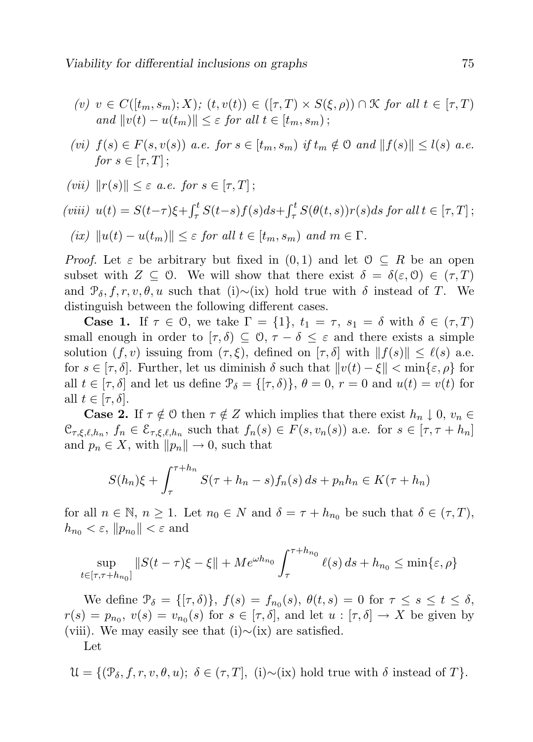- (v)  $v \in C([t_m, s_m); X);$   $(t, v(t)) \in ([\tau, T) \times S(\xi, \rho)) \cap \mathcal{K}$  for all  $t \in [\tau, T)$ and  $||v(t) - u(t_m)|| \leq \varepsilon$  for all  $t \in [t_m, s_m)$ ;
- (vi)  $f(s) \in F(s, v(s))$  a.e. for  $s \in [t_m, s_m)$  if  $t_m \notin \mathcal{O}$  and  $||f(s)|| \leq l(s)$  a.e. for  $s \in [\tau, T]$ ;
- (vii)  $||r(s)|| \leq \varepsilon$  a.e. for  $s \in [\tau, T]$ ;

(viii) 
$$
u(t) = S(t-\tau)\xi + \int_{\tau}^{t} S(t-s)f(s)ds + \int_{\tau}^{t} S(\theta(t,s))r(s)ds \text{ for all } t \in [\tau, T];
$$

$$
(ix) \|u(t) - u(t_m)\| \leq \varepsilon \text{ for all } t \in [t_m, s_m) \text{ and } m \in \Gamma.
$$

*Proof.* Let  $\varepsilon$  be arbitrary but fixed in  $(0,1)$  and let  $0 \subseteq R$  be an open subset with  $Z \subseteq \mathcal{O}$ . We will show that there exist  $\delta = \delta(\varepsilon, \mathcal{O}) \in (\tau, T)$ and  $\mathcal{P}_{\delta}$ , f, r, v,  $\theta$ , u such that (i)∼(ix) hold true with  $\delta$  instead of T. We distinguish between the following different cases.

**Case 1.** If  $\tau \in \mathcal{O}$ , we take  $\Gamma = \{1\}$ ,  $t_1 = \tau$ ,  $s_1 = \delta$  with  $\delta \in (\tau, T)$ small enough in order to  $[\tau, \delta] \subseteq \mathcal{O}, \tau - \delta \leq \varepsilon$  and there exists a simple solution  $(f, v)$  issuing from  $(\tau, \xi)$ , defined on  $[\tau, \delta]$  with  $||f(s)|| \leq \ell(s)$  a.e. for  $s \in [\tau, \delta]$ . Further, let us diminish  $\delta$  such that  $||v(t) - \xi|| < \min{\{\varepsilon, \rho\}}$  for all  $t \in [\tau, \delta]$  and let us define  $\mathcal{P}_{\delta} = \{[\tau, \delta)\}, \theta = 0, r = 0$  and  $u(t) = v(t)$  for all  $t \in [\tau, \delta].$ 

**Case 2.** If  $\tau \notin \mathcal{O}$  then  $\tau \notin Z$  which implies that there exist  $h_n \downarrow 0, v_n \in$  $\mathcal{C}_{\tau,\xi,\ell,h_n},\,f_n\in\mathcal{E}_{\tau,\xi,\ell,h_n}$  such that  $f_n(s)\in F(s,v_n(s))$  a.e. for  $s\in[\tau,\tau+h_n]$ and  $p_n \in X$ , with  $||p_n|| \to 0$ , such that

$$
S(h_n)\xi + \int_{\tau}^{\tau+h_n} S(\tau+h_n-s) f_n(s) ds + p_n h_n \in K(\tau+h_n)
$$

for all  $n \in \mathbb{N}$ ,  $n \geq 1$ . Let  $n_0 \in N$  and  $\delta = \tau + h_{n_0}$  be such that  $\delta \in (\tau, T)$ ,  $h_{n_0} < \varepsilon, \|p_{n_0}\| < \varepsilon$  and

$$
\sup_{t \in [\tau, \tau + h_{n_0}]} \|S(t - \tau)\xi - \xi\| + Me^{\omega h_{n_0}} \int_{\tau}^{\tau + h_{n_0}} \ell(s) \, ds + h_{n_0} \le \min\{\varepsilon, \rho\}
$$

We define  $\mathcal{P}_{\delta} = \{[\tau,\delta)\},\ f(s) = f_{n_0}(s),\ \theta(t,s) = 0 \text{ for } \tau \leq s \leq t \leq \delta,$  $r(s) = p_{n_0}, v(s) = v_{n_0}(s)$  for  $s \in [\tau, \delta],$  and let  $u : [\tau, \delta] \to X$  be given by (viii). We may easily see that (i) $\sim$ (ix) are satisfied.

Let

$$
\mathcal{U} = \{(\mathcal{P}_{\delta}, f, r, v, \theta, u); \delta \in (\tau, T], (i) \sim (ix) \text{ hold true with } \delta \text{ instead of } T\}.
$$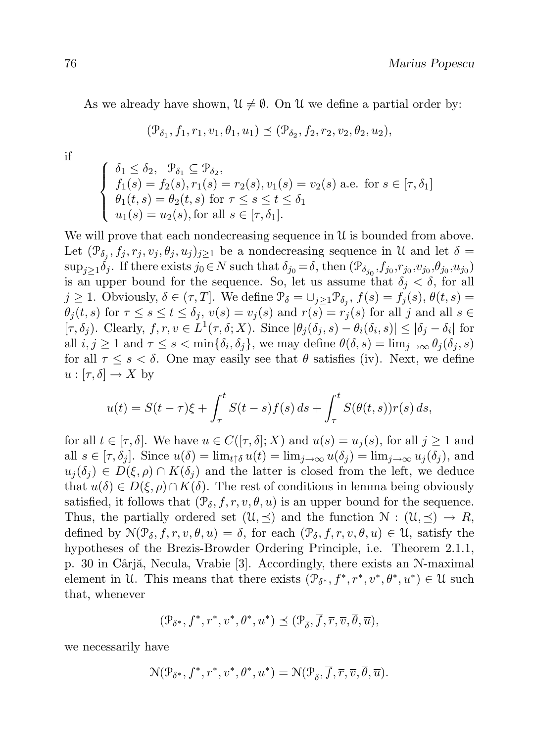As we already have shown,  $\mathfrak{U} \neq \emptyset$ . On U we define a partial order by:

$$
(\mathcal{P}_{\delta_1}, f_1, r_1, v_1, \theta_1, u_1) \preceq (\mathcal{P}_{\delta_2}, f_2, r_2, v_2, \theta_2, u_2),
$$

if

$$
\begin{cases} \n\delta_1 \leq \delta_2, \quad \mathcal{P}_{\delta_1} \subseteq \mathcal{P}_{\delta_2}, \\
 f_1(s) = f_2(s), r_1(s) = r_2(s), v_1(s) = v_2(s) \text{ a.e. for } s \in [\tau, \delta_1] \\
\theta_1(t, s) = \theta_2(t, s) \text{ for } \tau \leq s \leq t \leq \delta_1 \\
u_1(s) = u_2(s), \text{for all } s \in [\tau, \delta_1].\n\end{cases}
$$

We will prove that each nondecreasing sequence in  $\mathcal U$  is bounded from above. Let  $(\mathcal{P}_{\delta_j}, f_j, r_j, v_j, \theta_j, u_j)_{j \geq 1}$  be a nondecreasing sequence in U and let  $\delta =$  $\sup_{j\geq 1}\delta_j$ . If there exists  $j_0\in N$  such that  $\delta_{j_0}=\delta$ , then  $(\mathcal{P}_{\delta_{j_0}}, f_{j_0}, r_{j_0}, \theta_{j_0}, u_{j_0})$ is an upper bound for the sequence. So, let us assume that  $\delta_i < \delta$ , for all  $j \geq 1$ . Obviously,  $\delta \in (\tau, T]$ . We define  $\mathcal{P}_{\delta} = \cup_{j \geq 1} \mathcal{P}_{\delta_j}$ ,  $f(s) = f_j(s)$ ,  $\theta(t, s) =$  $\theta_i(t,s)$  for  $\tau \leq s \leq t \leq \delta_i$ ,  $v(s) = v_i(s)$  and  $r(s) = r_i(s)$  for all j and all  $s \in$  $[\tau, \delta_j]$ . Clearly,  $f, r, v \in L^1(\tau, \delta; X)$ . Since  $|\theta_j(\delta_j, s) - \theta_i(\delta_i, s)| \leq |\delta_j - \delta_i|$  for all  $i, j \geq 1$  and  $\tau \leq s < \min\{\delta_i, \delta_j\}$ , we may define  $\theta(\delta, s) = \lim_{j \to \infty} \theta_j(\delta_j, s)$ for all  $\tau \leq s \leq \delta$ . One may easily see that  $\theta$  satisfies (iv). Next, we define  $u : [\tau, \delta] \to X$  by

$$
u(t) = S(t-\tau)\xi + \int_{\tau}^{t} S(t-s)f(s) ds + \int_{\tau}^{t} S(\theta(t,s))r(s) ds,
$$

for all  $t \in [\tau, \delta]$ . We have  $u \in C([\tau, \delta]; X)$  and  $u(s) = u_i(s)$ , for all  $j \ge 1$  and all  $s \in [\tau, \delta_i]$ . Since  $u(\delta) = \lim_{t \uparrow \delta} u(t) = \lim_{i \to \infty} u(\delta_i) = \lim_{i \to \infty} u_i(\delta_i)$ , and  $u_i(\delta_i) \in D(\xi,\rho) \cap K(\delta_i)$  and the latter is closed from the left, we deduce that  $u(\delta) \in D(\xi, \rho) \cap K(\delta)$ . The rest of conditions in lemma being obviously satisfied, it follows that  $(\mathcal{P}_{\delta}, f, r, v, \theta, u)$  is an upper bound for the sequence. Thus, the partially ordered set  $(\mathcal{U}, \preceq)$  and the function  $\mathcal{N} : (\mathcal{U}, \preceq) \to R$ , defined by  $\mathcal{N}(\mathcal{P}_{\delta}, f, r, v, \theta, u) = \delta$ , for each  $(\mathcal{P}_{\delta}, f, r, v, \theta, u) \in \mathcal{U}$ , satisfy the hypotheses of the Brezis-Browder Ordering Principle, i.e. Theorem 2.1.1, p. 30 in Cârjă, Necula, Vrabie [3]. Accordingly, there exists an  $N$ -maximal element in U. This means that there exists  $(\mathcal{P}_{\delta^*}, f^*, r^*, v^*, \theta^*, u^*) \in \mathcal{U}$  such that, whenever

$$
(\mathcal{P}_{\delta^*}, f^*, r^*, v^*, \theta^*, u^*) \preceq (\mathcal{P}_{\overline{\delta}}, \overline{f}, \overline{r}, \overline{v}, \overline{\theta}, \overline{u}),
$$

we necessarily have

$$
\mathcal{N}(\mathcal{P}_{\delta^*}, f^*, r^*, v^*, \theta^*, u^*) = \mathcal{N}(\mathcal{P}_{\overline{\delta}}, \overline{f}, \overline{r}, \overline{v}, \overline{\theta}, \overline{u}).
$$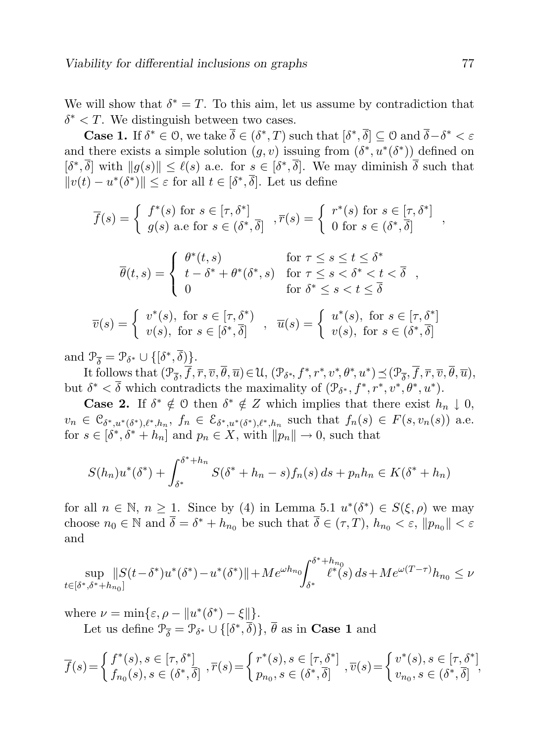We will show that  $\delta^* = T$ . To this aim, let us assume by contradiction that  $\delta^*$  < T. We distinguish between two cases.

**Case 1.** If  $\delta^* \in \mathcal{O}$ , we take  $\overline{\delta} \in (\delta^*, T)$  such that  $[\delta^*, \overline{\delta}] \subseteq \mathcal{O}$  and  $\overline{\delta} - \delta^* < \varepsilon$ and there exists a simple solution  $(g, v)$  issuing from  $(\delta^*, u^*(\delta^*))$  defined on  $[\delta^*, \overline{\delta}]$  with  $||g(s)|| \leq \ell(s)$  a.e. for  $s \in [\delta^*, \overline{\delta}]$ . We may diminish  $\overline{\delta}$  such that  $||v(t) - u^*(\delta^*)|| \leq \varepsilon$  for all  $t \in [\delta^*, \overline{\delta}]$ . Let us define

$$
\overline{f}(s) = \begin{cases} f^*(s) \text{ for } s \in [\tau, \delta^*] \\ g(s) \text{ a.e for } s \in (\delta^*, \overline{\delta}] \end{cases}, \overline{r}(s) = \begin{cases} r^*(s) \text{ for } s \in [\tau, \delta^*] \\ 0 \text{ for } s \in (\delta^*, \overline{\delta}] \end{cases},
$$

$$
\overline{\theta}(t,s) = \begin{cases} \theta^*(t,s) & \text{for } \tau \le s \le t \le \delta^* \\ t - \delta^* + \theta^*(\delta^*,s) & \text{for } \tau \le s < \delta^* < t < \overline{\delta} \\ 0 & \text{for } \delta^* \le s < t \le \overline{\delta} \end{cases}
$$

$$
\overline{v}(s) = \begin{cases} v^*(s), \text{ for } s \in [\tau, \delta^*) \\ v(s), \text{ for } s \in [\delta^*, \overline{\delta}] \end{cases}, \overline{u}(s) = \begin{cases} u^*(s), \text{ for } s \in [\tau, \delta^*] \\ v(s), \text{ for } s \in (\delta^*, \overline{\delta}] \end{cases}
$$

and  $\mathcal{P}_{\overline{\delta}} = \mathcal{P}_{\delta^*} \cup \{ [\delta^*, \overline{\delta}) \}.$ 

It follows that  $(\mathcal{P}_{\overline{\delta}}, \overline{f}, \overline{r}, \overline{v}, \overline{\theta}, \overline{u}) \in \mathcal{U}$ ,  $(\mathcal{P}_{\delta^*}, f^*, r^*, v^*, \theta^*, u^*) \leq (\mathcal{P}_{\overline{\delta}}, \overline{f}, \overline{r}, \overline{v}, \overline{\theta}, \overline{u})$ , but  $\delta^* < \overline{\delta}$  which contradicts the maximality of  $(\mathcal{P}_{\delta^*}, f^*, r^*, v^*, \theta^*, u^*).$ 

**Case 2.** If  $\delta^* \notin \mathcal{O}$  then  $\delta^* \notin \mathcal{Z}$  which implies that there exist  $h_n \downarrow 0$ ,  $v_n \in \mathfrak{C}_{\delta^*,u^*(\delta^*),\ell^*,h_n},\ f_n \in \mathfrak{C}_{\delta^*,u^*(\delta^*),\ell^*,h_n}$  such that  $f_n(s) \in F(s,v_n(s))$  a.e. for  $s \in [\delta^*, \delta^* + h_n]$  and  $p_n \in X$ , with  $||p_n|| \to 0$ , such that

$$
S(h_n)u^*(\delta^*) + \int_{\delta^*}^{\delta^*+h_n} S(\delta^*+h_n-s) f_n(s) \, ds + p_n h_n \in K(\delta^*+h_n)
$$

for all  $n \in \mathbb{N}, n \ge 1$ . Since by (4) in Lemma 5.1  $u^*(\delta^*) \in S(\xi, \rho)$  we may choose  $n_0 \in \mathbb{N}$  and  $\overline{\delta} = \delta^* + h_{n_0}$  be such that  $\overline{\delta} \in (\tau, T)$ ,  $h_{n_0} < \varepsilon$ ,  $||p_{n_0}|| < \varepsilon$ and

$$
\sup_{t\in [\delta^*,\delta^*+h_{n_0}]} \lVert S(t-\delta^*)u^*(\delta^*)-u^*(\delta^*)\rVert+Me^{\omega h_{n_0}}\!\!\int_{\delta^*}^{\delta^*+h_{n_0}}\!\!\ell^*(s)\,ds+Me^{\omega(T-\tau)}h_{n_0}\leq \nu
$$

where  $\nu = \min{\varepsilon, \rho - \|u^*(\delta^*) - \xi\|}.$ 

Let us define  $\mathcal{P}_{\overline{\delta}} = \mathcal{P}_{\delta^*} \cup \{[\delta^*, \overline{\delta})\}, \overline{\theta}$  as in **Case 1** and

$$
\overline{f}(s) = \begin{cases} f^*(s), s \in [\tau, \delta^*] \\ f_{n_0}(s), s \in (\delta^*, \overline{\delta}] \end{cases}, \overline{r}(s) = \begin{cases} r^*(s), s \in [\tau, \delta^*] \\ p_{n_0}, s \in (\delta^*, \overline{\delta}] \end{cases}, \overline{v}(s) = \begin{cases} v^*(s), s \in [\tau, \delta^*] \\ v_{n_0}, s \in (\delta^*, \overline{\delta}] \end{cases},
$$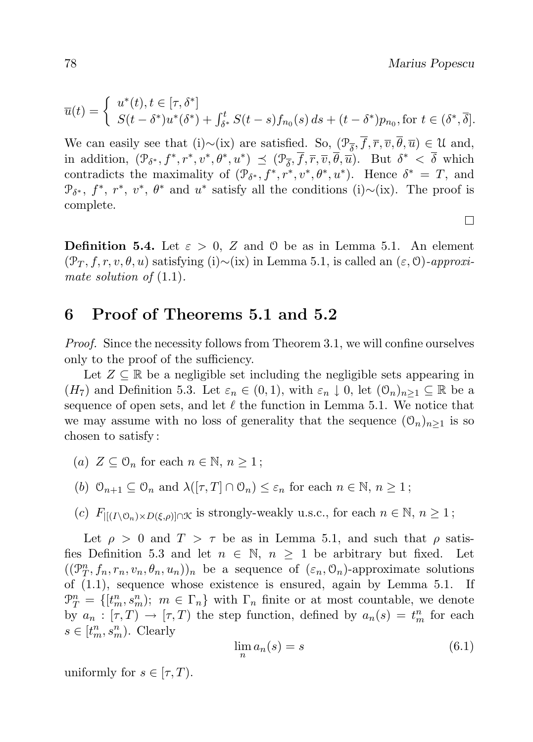П

$$
\overline{u}(t) = \begin{cases} u^*(t), t \in [\tau, \delta^*] \\ S(t - \delta^*) u^*(\delta^*) + \int_{\delta^*}^t S(t - s) f_{n_0}(s) ds + (t - \delta^*) p_{n_0}, \text{for } t \in (\delta^*, \overline{\delta}]. \end{cases}
$$

We can easily see that (i)∼(ix) are satisfied. So,  $(\mathcal{P}_{\overline{\delta}}, f, \overline{r}, \overline{v}, \theta, \overline{u}) \in \mathcal{U}$  and, in addition,  $(\mathcal{P}_{\delta^*}, f^*, r^*, v^*, \theta^*, u^*) \preceq (\mathcal{P}_{\overline{\delta}}, \overline{f}, \overline{r}, \overline{v}, \overline{\theta}, \overline{u})$ . But  $\delta^* < \overline{\delta}$  which contradicts the maximality of  $(\mathcal{P}_{\delta^*}, f^*, r^*, v^*, \theta^*, u^*)$ . Hence  $\delta^* = T$ , and  $\mathcal{P}_{\delta^*}, f^*, r^*, v^*, \theta^*$  and  $u^*$  satisfy all the conditions (i)∼(ix). The proof is complete.

**Definition 5.4.** Let  $\varepsilon > 0$ , Z and O be as in Lemma 5.1. An element  $(\mathcal{P}_T, f, r, v, \theta, u)$  satisfying (i)∼(ix) in Lemma 5.1, is called an  $(\varepsilon, 0)$ -approximate solution of  $(1.1)$ .

#### 6 Proof of Theorems 5.1 and 5.2

Proof. Since the necessity follows from Theorem 3.1, we will confine ourselves only to the proof of the sufficiency.

Let  $Z \subseteq \mathbb{R}$  be a negligible set including the negligible sets appearing in  $(H_7)$  and Definition 5.3. Let  $\varepsilon_n \in (0,1)$ , with  $\varepsilon_n \downarrow 0$ , let  $(0_n)_{n>1} \subseteq \mathbb{R}$  be a sequence of open sets, and let  $\ell$  the function in Lemma 5.1. We notice that we may assume with no loss of generality that the sequence  $(\mathcal{O}_n)_{n>1}$  is so chosen to satisfy :

- (a)  $Z \subseteq \mathcal{O}_n$  for each  $n \in \mathbb{N}, n \geq 1$ ;
- (b)  $\mathcal{O}_{n+1} \subseteq \mathcal{O}_n$  and  $\lambda([\tau, T] \cap \mathcal{O}_n) \leq \varepsilon_n$  for each  $n \in \mathbb{N}, n \geq 1$ ;
- (c)  $F_{\left|\left|\left(I\setminus\mathcal{O}_n\right)\times D\left(\xi,\rho\right)\right|\right|\cap\mathcal{K}}$  is strongly-weakly u.s.c., for each  $n \in \mathbb{N}, n \geq 1$ ;

Let  $\rho > 0$  and  $T > \tau$  be as in Lemma 5.1, and such that  $\rho$  satisfies Definition 5.3 and let  $n \in \mathbb{N}$ ,  $n \geq 1$  be arbitrary but fixed. Let  $((\mathcal{P}_T^n, f_n, r_n, v_n, \theta_n, u_n))_n$  be a sequence of  $(\varepsilon_n, \mathcal{O}_n)$ -approximate solutions of (1.1), sequence whose existence is ensured, again by Lemma 5.1. If  $\mathcal{P}_T^n = \{[t_m^n, s_m^n); \ m \in \Gamma_n\}$  with  $\Gamma_n$  finite or at most countable, we denote by  $a_n : [\tau, T) \to [\tau, T)$  the step function, defined by  $a_n(s) = t_m^n$  for each  $s \in [t_m^n, s_m^n)$ . Clearly

$$
\lim_{n} a_n(s) = s \tag{6.1}
$$

uniformly for  $s \in [\tau, T)$ .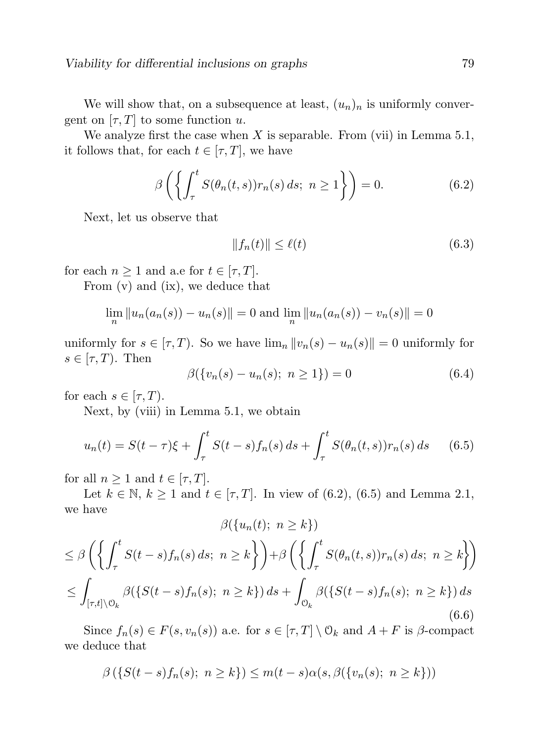We will show that, on a subsequence at least,  $(u_n)_n$  is uniformly convergent on  $[\tau, T]$  to some function u.

We analyze first the case when  $X$  is separable. From (vii) in Lemma 5.1, it follows that, for each  $t \in [\tau, T]$ , we have

$$
\beta\left(\left\{\int_{\tau}^{t} S(\theta_n(t,s))r_n(s) ds; \ n \ge 1\right\}\right) = 0. \tag{6.2}
$$

Next, let us observe that

$$
||f_n(t)|| \le \ell(t) \tag{6.3}
$$

for each  $n \geq 1$  and a.e for  $t \in [\tau, T]$ .

From (v) and (ix), we deduce that

$$
\lim_{n} \|u_n(a_n(s)) - u_n(s)\| = 0 \text{ and } \lim_{n} \|u_n(a_n(s)) - v_n(s)\| = 0
$$

uniformly for  $s \in [\tau, T)$ . So we have  $\lim_{n} ||v_n(s) - u_n(s)|| = 0$  uniformly for  $s \in [\tau, T)$ . Then

$$
\beta({v_n(s) - u_n(s); n \ge 1}) = 0 \tag{6.4}
$$

for each  $s \in [\tau, T)$ .

Next, by (viii) in Lemma 5.1, we obtain

$$
u_n(t) = S(t - \tau)\xi + \int_{\tau}^{t} S(t - s) f_n(s) \, ds + \int_{\tau}^{t} S(\theta_n(t, s)) r_n(s) \, ds \qquad (6.5)
$$

for all  $n \geq 1$  and  $t \in [\tau, T]$ .

Let  $k \in \mathbb{N}, k \ge 1$  and  $t \in [\tau, T]$ . In view of (6.2), (6.5) and Lemma 2.1, we have  $\partial(f - f)$  > k)

$$
\beta(\{u_n(t); n \ge k\})
$$
  
\n
$$
\le \beta \left( \left\{ \int_{\tau}^t S(t-s) f_n(s) \, ds; n \ge k \right\} \right) + \beta \left( \left\{ \int_{\tau}^t S(\theta_n(t,s)) r_n(s) \, ds; n \ge k \right\} \right)
$$
  
\n
$$
\le \int_{[\tau,t] \setminus \mathcal{O}_k} \beta(\{S(t-s) f_n(s); n \ge k\}) \, ds + \int_{\mathcal{O}_k} \beta(\{S(t-s) f_n(s); n \ge k\}) \, ds \tag{6.6}
$$

Since  $f_n(s) \in F(s, v_n(s))$  a.e. for  $s \in [\tau, T] \setminus \mathcal{O}_k$  and  $A + F$  is  $\beta$ -compact we deduce that

$$
\beta\left(\{S(t-s)f_n(s); n \ge k\}\right) \le m(t-s)\alpha(s, \beta(\{v_n(s); n \ge k\})
$$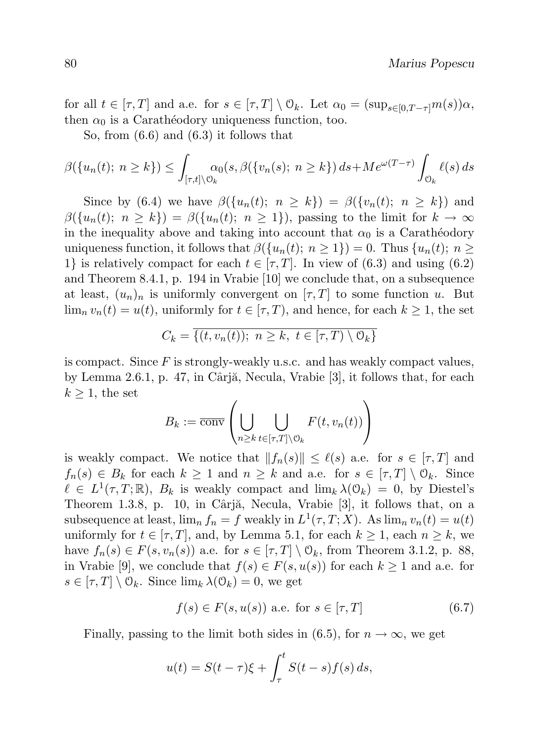for all  $t \in [\tau, T]$  and a.e. for  $s \in [\tau, T] \setminus \mathcal{O}_k$ . Let  $\alpha_0 = (\sup_{s \in [0, T - \tau]} m(s))\alpha$ , then  $\alpha_0$  is a Caratheodory uniqueness function, too.

So, from (6.6) and (6.3) it follows that

$$
\beta(\{u_n(t); n \ge k\}) \le \int_{[\tau,t] \setminus \mathcal{O}_k} \alpha_0(s, \beta(\{v_n(s); n \ge k\}) ds + Me^{\omega(T-\tau)} \int_{\mathcal{O}_k} \ell(s) ds
$$

Since by (6.4) we have  $\beta({u_n(t)}; n \ge k) = \beta({v_n(t)}; n \ge k)$  and  $\beta({u_n(t)}; n \ge k) = \beta({u_n(t)}; n \ge 1)$ , passing to the limit for  $k \to \infty$ in the inequality above and taking into account that  $\alpha_0$  is a Carathéodory uniqueness function, it follows that  $\beta({u_n(t); n \geq 1}) = 0$ . Thus  ${u_n(t); n \geq 0}$ 1} is relatively compact for each  $t \in [\tau, T]$ . In view of (6.3) and using (6.2) and Theorem 8.4.1, p. 194 in Vrabie [10] we conclude that, on a subsequence at least,  $(u_n)_n$  is uniformly convergent on  $[\tau, T]$  to some function u. But  $\lim_{n} v_n(t) = u(t)$ , uniformly for  $t \in [\tau, T)$ , and hence, for each  $k \geq 1$ , the set

$$
C_k = \{ (t, v_n(t)); \ n \ge k, \ t \in [\tau, T) \setminus \mathcal{O}_k \}
$$

is compact. Since  $F$  is strongly-weakly u.s.c. and has weakly compact values, by Lemma 2.6.1, p. 47, in Cârjă, Necula, Vrabie  $[3]$ , it follows that, for each  $k \geq 1$ , the set

$$
B_k := \overline{\text{conv}}\left(\bigcup_{n\geq k} \bigcup_{t\in[\tau,T]\setminus\mathcal{O}_k} F(t,v_n(t))\right)
$$

is weakly compact. We notice that  $||f_n(s)|| \leq \ell(s)$  a.e. for  $s \in [\tau, T]$  and  $f_n(s) \in B_k$  for each  $k \geq 1$  and  $n \geq k$  and a.e. for  $s \in [\tau, T] \setminus \mathcal{O}_k$ . Since  $\ell \in L^1(\tau, T; \mathbb{R})$ ,  $B_k$  is weakly compact and  $\lim_k \lambda(\mathcal{O}_k) = 0$ , by Diestel's Theorem 1.3.8, p. 10, in Cârjă, Necula, Vrabie [3], it follows that, on a subsequence at least,  $\lim_{n} f_n = f$  weakly in  $L^1(\tau, T; X)$ . As  $\lim_{n} v_n(t) = u(t)$ uniformly for  $t \in [\tau, T]$ , and, by Lemma 5.1, for each  $k \ge 1$ , each  $n \ge k$ , we have  $f_n(s) \in F(s, v_n(s))$  a.e. for  $s \in [\tau, T] \setminus \mathcal{O}_k$ , from Theorem 3.1.2, p. 88, in Vrabie [9], we conclude that  $f(s) \in F(s, u(s))$  for each  $k \ge 1$  and a.e. for  $s \in [\tau, T] \setminus \mathcal{O}_k$ . Since  $\lim_k \lambda(\mathcal{O}_k) = 0$ , we get

$$
f(s) \in F(s, u(s)) \text{ a.e. for } s \in [\tau, T] \tag{6.7}
$$

Finally, passing to the limit both sides in (6.5), for  $n \to \infty$ , we get

$$
u(t) = S(t - \tau)\xi + \int_{\tau}^{t} S(t - s)f(s) ds,
$$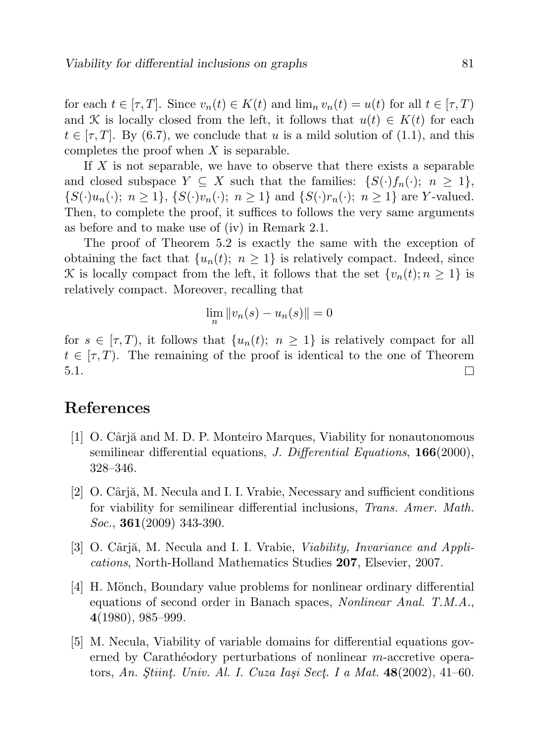for each  $t \in [\tau, T]$ . Since  $v_n(t) \in K(t)$  and  $\lim_n v_n(t) = u(t)$  for all  $t \in [\tau, T]$ and K is locally closed from the left, it follows that  $u(t) \in K(t)$  for each  $t \in [\tau, T]$ . By (6.7), we conclude that u is a mild solution of (1.1), and this completes the proof when  $X$  is separable.

If  $X$  is not separable, we have to observe that there exists a separable and closed subspace  $Y \subseteq X$  such that the families:  $\{S(\cdot)f_n(\cdot); n \geq 1\}$ ,  $\{S(\cdot)u_n(\cdot); n \geq 1\}, \{S(\cdot)v_n(\cdot); n \geq 1\}$  and  $\{S(\cdot)r_n(\cdot); n \geq 1\}$  are Y-valued. Then, to complete the proof, it suffices to follows the very same arguments as before and to make use of (iv) in Remark 2.1.

The proof of Theorem 5.2 is exactly the same with the exception of obtaining the fact that  $\{u_n(t); n \geq 1\}$  is relatively compact. Indeed, since K is locally compact from the left, it follows that the set  $\{v_n(t); n \geq 1\}$  is relatively compact. Moreover, recalling that

$$
\lim_{n} \|v_n(s) - u_n(s)\| = 0
$$

for  $s \in [\tau, T)$ , it follows that  $\{u_n(t); n \geq 1\}$  is relatively compact for all  $t \in [\tau, T]$ . The remaining of the proof is identical to the one of Theorem 5.1.  $\Box$ 

## References

- [1] O. Cârjă and M. D. P. Monteiro Marques, Viability for nonautonomous semilinear differential equations, *J. Differential Equations*, **166**(2000), 328–346.
- [2]  $\sigma$ . Cârjă, M. Necula and I. I. Vrabie, Necessary and sufficient conditions for viability for semilinear differential inclusions, Trans. Amer. Math.  $Soc., 361(2009)$  343-390.
- [3] O. Cârjă, M. Necula and I. I. Vrabie, *Viability, Invariance and Appli*cations, North-Holland Mathematics Studies 207, Elsevier, 2007.
- [4] H. Mönch, Boundary value problems for nonlinear ordinary differential equations of second order in Banach spaces, Nonlinear Anal. T.M.A., 4(1980), 985–999.
- [5] M. Necula, Viability of variable domains for differential equations governed by Carathéodory perturbations of nonlinear  $m$ -accretive operators, An. Stiint. Univ. Al. I. Cuza Iași Sect. I a Mat.  $48(2002)$ ,  $41-60$ .